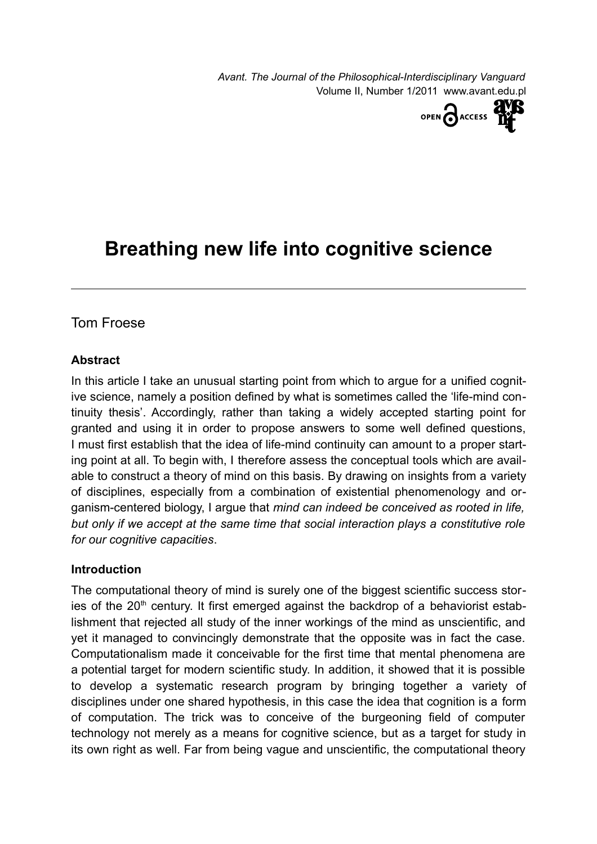*Avant. The Journal of the Philosophical-Interdisciplinary Vanguard* Volume II, Number 1/2011 www.avant.edu.pl



# **Breathing new life into cognitive science**

# Tom Froese

#### **Abstract**

In this article I take an unusual starting point from which to argue for a unified cognitive science, namely a position defined by what is sometimes called the 'life-mind continuity thesis'. Accordingly, rather than taking a widely accepted starting point for granted and using it in order to propose answers to some well defined questions, I must first establish that the idea of life-mind continuity can amount to a proper starting point at all. To begin with, I therefore assess the conceptual tools which are available to construct a theory of mind on this basis. By drawing on insights from a variety of disciplines, especially from a combination of existential phenomenology and organism-centered biology, I argue that *mind can indeed be conceived as rooted in life, but only if we accept at the same time that social interaction plays a constitutive role for our cognitive capacities*.

#### **Introduction**

The computational theory of mind is surely one of the biggest scientific success stories of the 20<sup>th</sup> century. It first emerged against the backdrop of a behaviorist establishment that rejected all study of the inner workings of the mind as unscientific, and yet it managed to convincingly demonstrate that the opposite was in fact the case. Computationalism made it conceivable for the first time that mental phenomena are a potential target for modern scientific study. In addition, it showed that it is possible to develop a systematic research program by bringing together a variety of disciplines under one shared hypothesis, in this case the idea that cognition is a form of computation. The trick was to conceive of the burgeoning field of computer technology not merely as a means for cognitive science, but as a target for study in its own right as well. Far from being vague and unscientific, the computational theory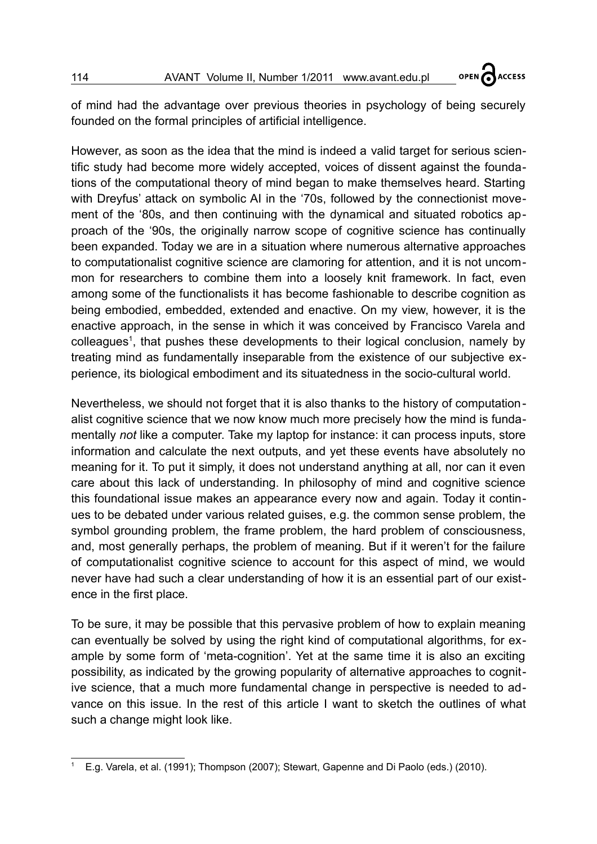**A**ACCESS

OPEN

of mind had the advantage over previous theories in psychology of being securely founded on the formal principles of artificial intelligence.

However, as soon as the idea that the mind is indeed a valid target for serious scientific study had become more widely accepted, voices of dissent against the foundations of the computational theory of mind began to make themselves heard. Starting with Dreyfus' attack on symbolic AI in the '70s, followed by the connectionist movement of the '80s, and then continuing with the dynamical and situated robotics approach of the '90s, the originally narrow scope of cognitive science has continually been expanded. Today we are in a situation where numerous alternative approaches to computationalist cognitive science are clamoring for attention, and it is not uncommon for researchers to combine them into a loosely knit framework. In fact, even among some of the functionalists it has become fashionable to describe cognition as being embodied, embedded, extended and enactive. On my view, however, it is the enactive approach, in the sense in which it was conceived by Francisco Varela and colleagues<sup>[1](#page-1-0)</sup>, that pushes these developments to their logical conclusion, namely by treating mind as fundamentally inseparable from the existence of our subjective experience, its biological embodiment and its situatedness in the socio-cultural world.

Nevertheless, we should not forget that it is also thanks to the history of computationalist cognitive science that we now know much more precisely how the mind is fundamentally *not* like a computer. Take my laptop for instance: it can process inputs, store information and calculate the next outputs, and yet these events have absolutely no meaning for it. To put it simply, it does not understand anything at all, nor can it even care about this lack of understanding. In philosophy of mind and cognitive science this foundational issue makes an appearance every now and again. Today it continues to be debated under various related guises, e.g. the common sense problem, the symbol grounding problem, the frame problem, the hard problem of consciousness, and, most generally perhaps, the problem of meaning. But if it weren't for the failure of computationalist cognitive science to account for this aspect of mind, we would never have had such a clear understanding of how it is an essential part of our existence in the first place.

To be sure, it may be possible that this pervasive problem of how to explain meaning can eventually be solved by using the right kind of computational algorithms, for example by some form of 'meta-cognition'. Yet at the same time it is also an exciting possibility, as indicated by the growing popularity of alternative approaches to cognitive science, that a much more fundamental change in perspective is needed to advance on this issue. In the rest of this article I want to sketch the outlines of what such a change might look like.

<span id="page-1-0"></span><sup>1</sup> E.g. Varela, et al. (1991); Thompson (2007); Stewart, Gapenne and Di Paolo (eds.) (2010).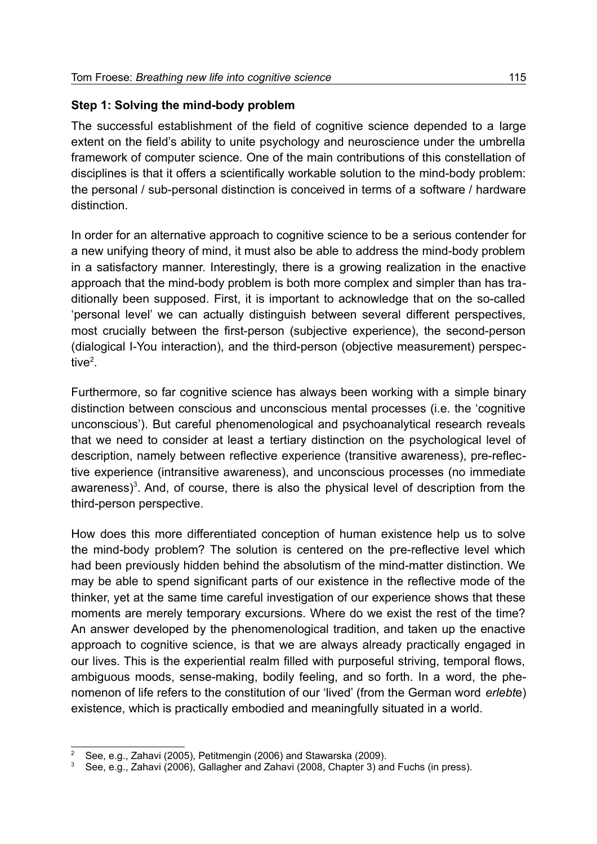# **Step 1: Solving the mind-body problem**

The successful establishment of the field of cognitive science depended to a large extent on the field's ability to unite psychology and neuroscience under the umbrella framework of computer science. One of the main contributions of this constellation of disciplines is that it offers a scientifically workable solution to the mind-body problem: the personal / sub-personal distinction is conceived in terms of a software / hardware distinction.

In order for an alternative approach to cognitive science to be a serious contender for a new unifying theory of mind, it must also be able to address the mind-body problem in a satisfactory manner. Interestingly, there is a growing realization in the enactive approach that the mind-body problem is both more complex and simpler than has traditionally been supposed. First, it is important to acknowledge that on the so-called 'personal level' we can actually distinguish between several different perspectives, most crucially between the first-person (subjective experience), the second-person (dialogical I-You interaction), and the third-person (objective measurement) perspective $^2$  $^2$ .

Furthermore, so far cognitive science has always been working with a simple binary distinction between conscious and unconscious mental processes (i.e. the 'cognitive unconscious'). But careful phenomenological and psychoanalytical research reveals that we need to consider at least a tertiary distinction on the psychological level of description, namely between reflective experience (transitive awareness), pre-reflective experience (intransitive awareness), and unconscious processes (no immediate awareness)<sup>[3](#page-2-1)</sup>. And, of course, there is also the physical level of description from the third-person perspective.

How does this more differentiated conception of human existence help us to solve the mind-body problem? The solution is centered on the pre-reflective level which had been previously hidden behind the absolutism of the mind-matter distinction. We may be able to spend significant parts of our existence in the reflective mode of the thinker, yet at the same time careful investigation of our experience shows that these moments are merely temporary excursions. Where do we exist the rest of the time? An answer developed by the phenomenological tradition, and taken up the enactive approach to cognitive science, is that we are always already practically engaged in our lives. This is the experiential realm filled with purposeful striving, temporal flows, ambiguous moods, sense-making, bodily feeling, and so forth. In a word, the phenomenon of life refers to the constitution of our 'lived' (from the German word *erlebt*e) existence, which is practically embodied and meaningfully situated in a world.

<span id="page-2-0"></span><sup>2</sup> See, e.g., Zahavi (2005), Petitmengin (2006) and Stawarska (2009).

<span id="page-2-1"></span>See, e.g., Zahavi (2006), Gallagher and Zahavi (2008, Chapter 3) and Fuchs (in press).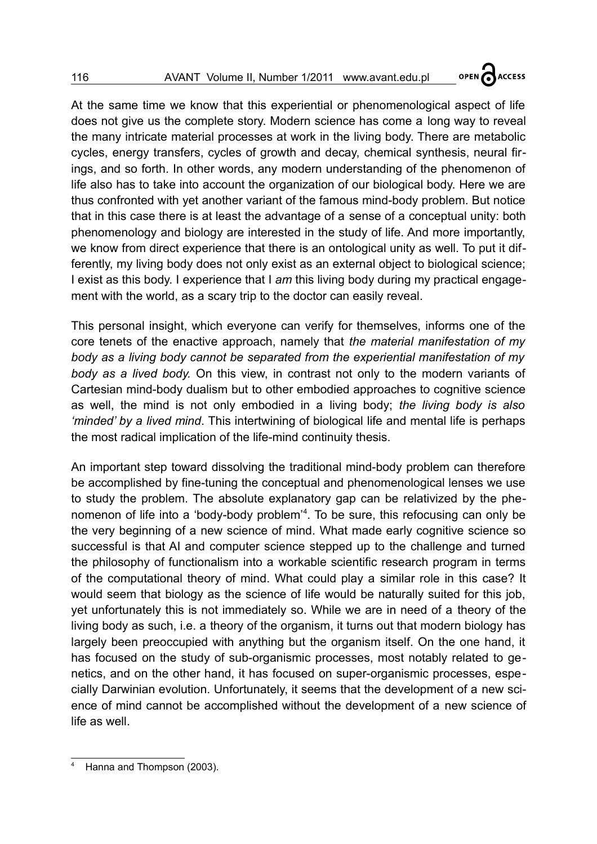OPEN CACCESS

At the same time we know that this experiential or phenomenological aspect of life does not give us the complete story. Modern science has come a long way to reveal the many intricate material processes at work in the living body. There are metabolic cycles, energy transfers, cycles of growth and decay, chemical synthesis, neural firings, and so forth. In other words, any modern understanding of the phenomenon of life also has to take into account the organization of our biological body. Here we are thus confronted with yet another variant of the famous mind-body problem. But notice that in this case there is at least the advantage of a sense of a conceptual unity: both phenomenology and biology are interested in the study of life. And more importantly, we know from direct experience that there is an ontological unity as well. To put it differently, my living body does not only exist as an external object to biological science; I exist as this body. I experience that I *am* this living body during my practical engagement with the world, as a scary trip to the doctor can easily reveal.

This personal insight, which everyone can verify for themselves, informs one of the core tenets of the enactive approach, namely that *the material manifestation of my body as a living body cannot be separated from the experiential manifestation of my body as a lived body.* On this view, in contrast not only to the modern variants of Cartesian mind-body dualism but to other embodied approaches to cognitive science as well, the mind is not only embodied in a living body; *the living body is also 'minded' by a lived mind*. This intertwining of biological life and mental life is perhaps the most radical implication of the life-mind continuity thesis.

An important step toward dissolving the traditional mind-body problem can therefore be accomplished by fine-tuning the conceptual and phenomenological lenses we use to study the problem. The absolute explanatory gap can be relativized by the phenomenon of life into a 'body-body problem'[4](#page-3-0) . To be sure, this refocusing can only be the very beginning of a new science of mind. What made early cognitive science so successful is that AI and computer science stepped up to the challenge and turned the philosophy of functionalism into a workable scientific research program in terms of the computational theory of mind. What could play a similar role in this case? It would seem that biology as the science of life would be naturally suited for this job, yet unfortunately this is not immediately so. While we are in need of a theory of the living body as such, i.e. a theory of the organism, it turns out that modern biology has largely been preoccupied with anything but the organism itself. On the one hand, it has focused on the study of sub-organismic processes, most notably related to genetics, and on the other hand, it has focused on super-organismic processes, especially Darwinian evolution. Unfortunately, it seems that the development of a new science of mind cannot be accomplished without the development of a new science of life as well.

<span id="page-3-0"></span>Hanna and Thompson (2003).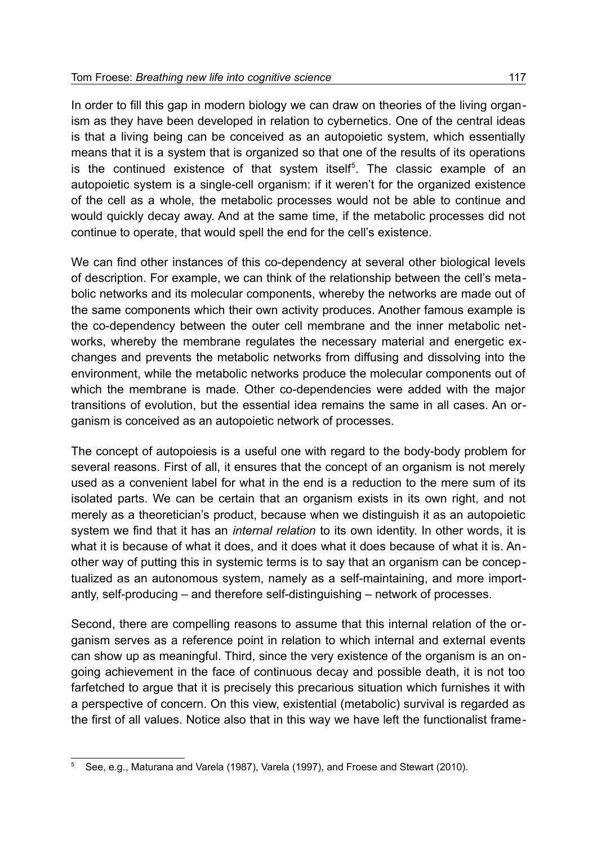In order to fill this gap in modern biology we can draw on theories of the living organism as they have been developed in relation to cybernetics. One of the central ideas is that a living being can be conceived as an autopoietic system, which essentially means that it is a system that is organized so that one of the results of its operations is the continued existence of that system itself<sup>[5](#page-4-0)</sup>. The classic example of an autopoietic system is a single-cell organism: if it weren't for the organized existence of the cell as a whole, the metabolic processes would not be able to continue and would quickly decay away. And at the same time, if the metabolic processes did not continue to operate, that would spell the end for the cell's existence.

We can find other instances of this co-dependency at several other biological levels of description. For example, we can think of the relationship between the cell's metabolic networks and its molecular components, whereby the networks are made out of the same components which their own activity produces. Another famous example is the co-dependency between the outer cell membrane and the inner metabolic networks, whereby the membrane regulates the necessary material and energetic exchanges and prevents the metabolic networks from diffusing and dissolving into the environment, while the metabolic networks produce the molecular components out of which the membrane is made. Other co-dependencies were added with the major transitions of evolution, but the essential idea remains the same in all cases. An organism is conceived as an autopoietic network of processes.

The concept of autopoiesis is a useful one with regard to the body-body problem for several reasons. First of all, it ensures that the concept of an organism is not merely used as a convenient label for what in the end is a reduction to the mere sum of its isolated parts. We can be certain that an organism exists in its own right, and not merely as a theoretician's product, because when we distinguish it as an autopoietic system we find that it has an *internal relation* to its own identity. In other words, it is what it is because of what it does, and it does what it does because of what it is. Another way of putting this in systemic terms is to say that an organism can be conceptualized as an autonomous system, namely as a self-maintaining, and more importantly, self-producing – and therefore self-distinguishing – network of processes.

Second, there are compelling reasons to assume that this internal relation of the organism serves as a reference point in relation to which internal and external events can show up as meaningful. Third, since the very existence of the organism is an ongoing achievement in the face of continuous decay and possible death, it is not too farfetched to argue that it is precisely this precarious situation which furnishes it with a perspective of concern. On this view, existential (metabolic) survival is regarded as the first of all values. Notice also that in this way we have left the functionalist frame-

<span id="page-4-0"></span><sup>5</sup> See, e.g., Maturana and Varela (1987), Varela (1997), and Froese and Stewart (2010).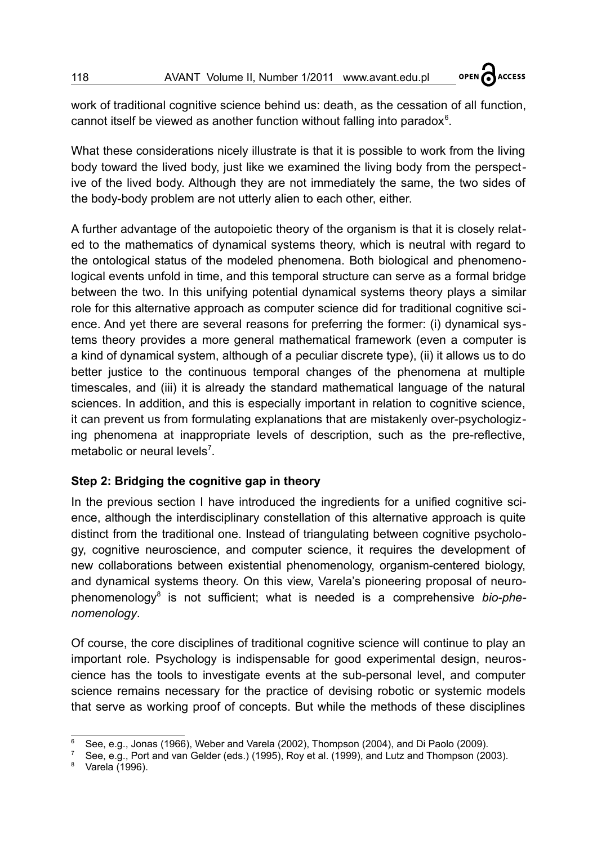work of traditional cognitive science behind us: death, as the cessation of all function, cannot itself be viewed as another function without falling into paradox $6$ .

**ACCESS** 

OPEN

What these considerations nicely illustrate is that it is possible to work from the living body toward the lived body, just like we examined the living body from the perspective of the lived body. Although they are not immediately the same, the two sides of the body-body problem are not utterly alien to each other, either.

A further advantage of the autopoietic theory of the organism is that it is closely related to the mathematics of dynamical systems theory, which is neutral with regard to the ontological status of the modeled phenomena. Both biological and phenomenological events unfold in time, and this temporal structure can serve as a formal bridge between the two. In this unifying potential dynamical systems theory plays a similar role for this alternative approach as computer science did for traditional cognitive science. And yet there are several reasons for preferring the former: (i) dynamical systems theory provides a more general mathematical framework (even a computer is a kind of dynamical system, although of a peculiar discrete type), (ii) it allows us to do better justice to the continuous temporal changes of the phenomena at multiple timescales, and (iii) it is already the standard mathematical language of the natural sciences. In addition, and this is especially important in relation to cognitive science, it can prevent us from formulating explanations that are mistakenly over-psychologizing phenomena at inappropriate levels of description, such as the pre-reflective, metabolic or neural levels<sup>[7](#page-5-1)</sup>.

# **Step 2: Bridging the cognitive gap in theory**

In the previous section I have introduced the ingredients for a unified cognitive science, although the interdisciplinary constellation of this alternative approach is quite distinct from the traditional one. Instead of triangulating between cognitive psychology, cognitive neuroscience, and computer science, it requires the development of new collaborations between existential phenomenology, organism-centered biology, and dynamical systems theory. On this view, Varela's pioneering proposal of neuro-phenomenology<sup>[8](#page-5-2)</sup> is not sufficient; what is needed is a comprehensive bio-phe*nomenology*.

Of course, the core disciplines of traditional cognitive science will continue to play an important role. Psychology is indispensable for good experimental design, neuroscience has the tools to investigate events at the sub-personal level, and computer science remains necessary for the practice of devising robotic or systemic models that serve as working proof of concepts. But while the methods of these disciplines

<span id="page-5-0"></span><sup>6</sup> See, e.g., Jonas (1966), Weber and Varela (2002), Thompson (2004), and Di Paolo (2009).

<span id="page-5-1"></span><sup>7</sup> See, e.g., Port and van Gelder (eds.) (1995), Roy et al. (1999), and Lutz and Thompson (2003).

<span id="page-5-2"></span>Varela (1996).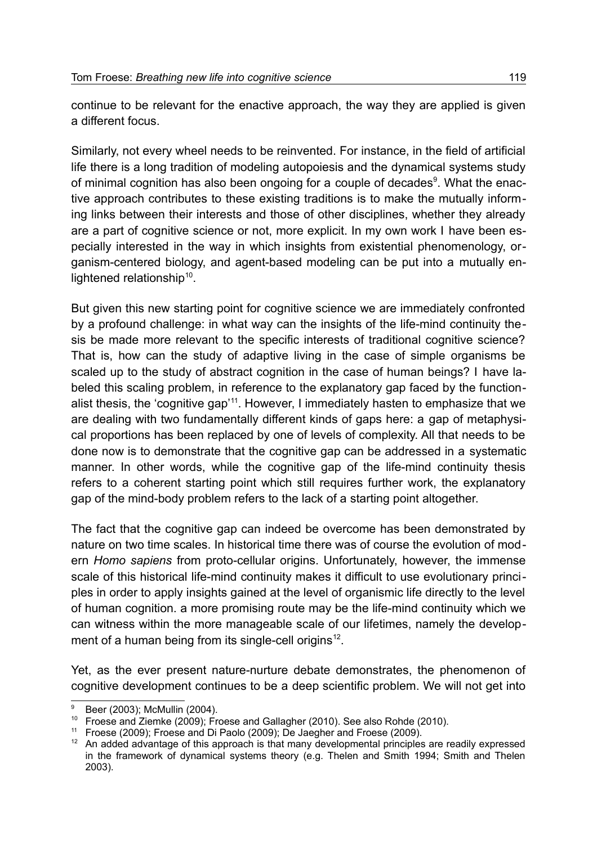continue to be relevant for the enactive approach, the way they are applied is given a different focus.

Similarly, not every wheel needs to be reinvented. For instance, in the field of artificial life there is a long tradition of modeling autopoiesis and the dynamical systems study of minimal cognition has also been ongoing for a couple of decades<sup>[9](#page-6-0)</sup>. What the enactive approach contributes to these existing traditions is to make the mutually informing links between their interests and those of other disciplines, whether they already are a part of cognitive science or not, more explicit. In my own work I have been especially interested in the way in which insights from existential phenomenology, organism-centered biology, and agent-based modeling can be put into a mutually en-lightened relationship<sup>[10](#page-6-1)</sup>.

But given this new starting point for cognitive science we are immediately confronted by a profound challenge: in what way can the insights of the life-mind continuity thesis be made more relevant to the specific interests of traditional cognitive science? That is, how can the study of adaptive living in the case of simple organisms be scaled up to the study of abstract cognition in the case of human beings? I have labeled this scaling problem, in reference to the explanatory gap faced by the function-alist thesis, the 'cognitive gap'<sup>[11](#page-6-2)</sup>. However, I immediately hasten to emphasize that we are dealing with two fundamentally different kinds of gaps here: a gap of metaphysical proportions has been replaced by one of levels of complexity. All that needs to be done now is to demonstrate that the cognitive gap can be addressed in a systematic manner. In other words, while the cognitive gap of the life-mind continuity thesis refers to a coherent starting point which still requires further work, the explanatory gap of the mind-body problem refers to the lack of a starting point altogether.

The fact that the cognitive gap can indeed be overcome has been demonstrated by nature on two time scales. In historical time there was of course the evolution of modern *Homo sapiens* from proto-cellular origins. Unfortunately, however, the immense scale of this historical life-mind continuity makes it difficult to use evolutionary principles in order to apply insights gained at the level of organismic life directly to the level of human cognition. a more promising route may be the life-mind continuity which we can witness within the more manageable scale of our lifetimes, namely the development of a human being from its single-cell origins $^{12}$  $^{12}$  $^{12}$ .

Yet, as the ever present nature-nurture debate demonstrates, the phenomenon of cognitive development continues to be a deep scientific problem. We will not get into

<span id="page-6-0"></span>Beer (2003); McMullin (2004).

<span id="page-6-1"></span><sup>10</sup> Froese and Ziemke (2009); Froese and Gallagher (2010). See also Rohde (2010).

<span id="page-6-2"></span><sup>11</sup> Froese (2009); Froese and Di Paolo (2009); De Jaegher and Froese (2009).

<span id="page-6-3"></span><sup>&</sup>lt;sup>12</sup> An added advantage of this approach is that many developmental principles are readily expressed in the framework of dynamical systems theory (e.g. Thelen and Smith 1994; Smith and Thelen 2003).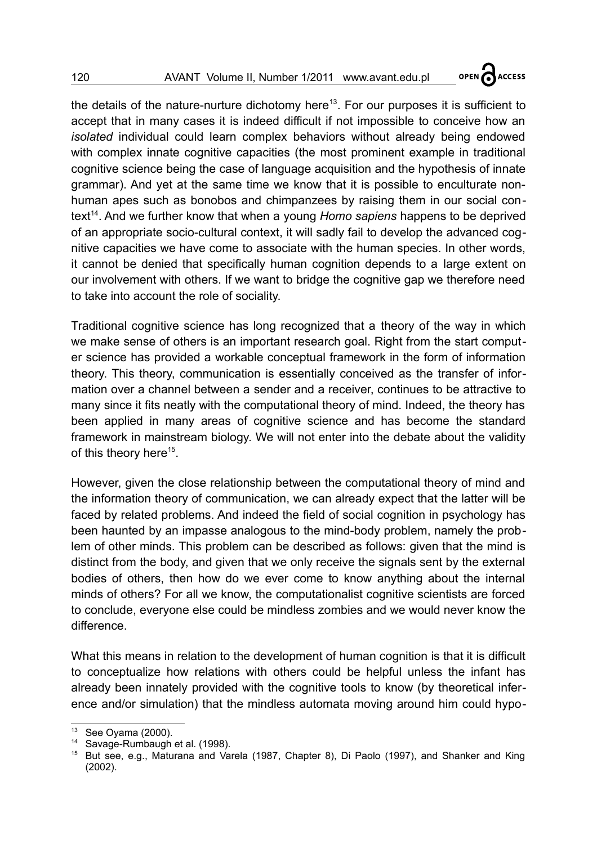OPEN CACCESS

the details of the nature-nurture dichotomy here<sup>[13](#page-7-0)</sup>. For our purposes it is sufficient to accept that in many cases it is indeed difficult if not impossible to conceive how an *isolated* individual could learn complex behaviors without already being endowed with complex innate cognitive capacities (the most prominent example in traditional cognitive science being the case of language acquisition and the hypothesis of innate grammar). And yet at the same time we know that it is possible to enculturate nonhuman apes such as bonobos and chimpanzees by raising them in our social con-text<sup>[14](#page-7-1)</sup>. And we further know that when a young *Homo sapiens* happens to be deprived of an appropriate socio-cultural context, it will sadly fail to develop the advanced cognitive capacities we have come to associate with the human species. In other words, it cannot be denied that specifically human cognition depends to a large extent on our involvement with others. If we want to bridge the cognitive gap we therefore need to take into account the role of sociality.

Traditional cognitive science has long recognized that a theory of the way in which we make sense of others is an important research goal. Right from the start computer science has provided a workable conceptual framework in the form of information theory. This theory, communication is essentially conceived as the transfer of information over a channel between a sender and a receiver, continues to be attractive to many since it fits neatly with the computational theory of mind. Indeed, the theory has been applied in many areas of cognitive science and has become the standard framework in mainstream biology. We will not enter into the debate about the validity of this theory here<sup>[15](#page-7-2)</sup>.

However, given the close relationship between the computational theory of mind and the information theory of communication, we can already expect that the latter will be faced by related problems. And indeed the field of social cognition in psychology has been haunted by an impasse analogous to the mind-body problem, namely the problem of other minds. This problem can be described as follows: given that the mind is distinct from the body, and given that we only receive the signals sent by the external bodies of others, then how do we ever come to know anything about the internal minds of others? For all we know, the computationalist cognitive scientists are forced to conclude, everyone else could be mindless zombies and we would never know the difference.

What this means in relation to the development of human cognition is that it is difficult to conceptualize how relations with others could be helpful unless the infant has already been innately provided with the cognitive tools to know (by theoretical inference and/or simulation) that the mindless automata moving around him could hypo-

<span id="page-7-0"></span> $13$  See Oyama (2000).

<span id="page-7-1"></span><sup>14</sup> Savage-Rumbaugh et al. (1998).

<span id="page-7-2"></span><sup>&</sup>lt;sup>15</sup> But see, e.g., Maturana and Varela (1987, Chapter 8), Di Paolo (1997), and Shanker and King (2002).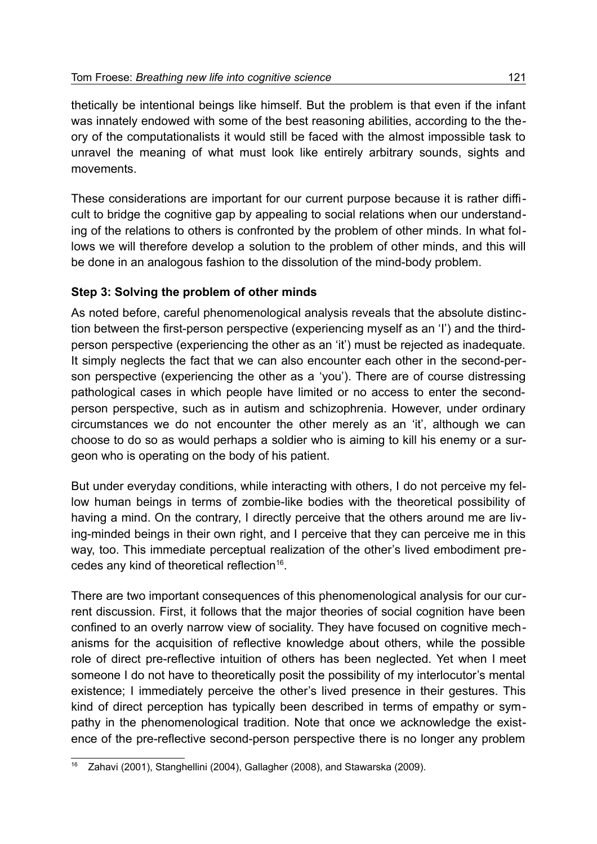thetically be intentional beings like himself. But the problem is that even if the infant was innately endowed with some of the best reasoning abilities, according to the theory of the computationalists it would still be faced with the almost impossible task to unravel the meaning of what must look like entirely arbitrary sounds, sights and movements.

These considerations are important for our current purpose because it is rather difficult to bridge the cognitive gap by appealing to social relations when our understanding of the relations to others is confronted by the problem of other minds. In what follows we will therefore develop a solution to the problem of other minds, and this will be done in an analogous fashion to the dissolution of the mind-body problem.

#### **Step 3: Solving the problem of other minds**

As noted before, careful phenomenological analysis reveals that the absolute distinction between the first-person perspective (experiencing myself as an 'I') and the thirdperson perspective (experiencing the other as an 'it') must be rejected as inadequate. It simply neglects the fact that we can also encounter each other in the second-person perspective (experiencing the other as a 'you'). There are of course distressing pathological cases in which people have limited or no access to enter the secondperson perspective, such as in autism and schizophrenia. However, under ordinary circumstances we do not encounter the other merely as an 'it', although we can choose to do so as would perhaps a soldier who is aiming to kill his enemy or a surgeon who is operating on the body of his patient.

But under everyday conditions, while interacting with others, I do not perceive my fellow human beings in terms of zombie-like bodies with the theoretical possibility of having a mind. On the contrary, I directly perceive that the others around me are living-minded beings in their own right, and I perceive that they can perceive me in this way, too. This immediate perceptual realization of the other's lived embodiment pre-cedes any kind of theoretical reflection<sup>[16](#page-8-0)</sup>.

There are two important consequences of this phenomenological analysis for our current discussion. First, it follows that the major theories of social cognition have been confined to an overly narrow view of sociality. They have focused on cognitive mechanisms for the acquisition of reflective knowledge about others, while the possible role of direct pre-reflective intuition of others has been neglected. Yet when I meet someone I do not have to theoretically posit the possibility of my interlocutor's mental existence; I immediately perceive the other's lived presence in their gestures. This kind of direct perception has typically been described in terms of empathy or sympathy in the phenomenological tradition. Note that once we acknowledge the existence of the pre-reflective second-person perspective there is no longer any problem

<span id="page-8-0"></span>Zahavi (2001), Stanghellini (2004), Gallagher (2008), and Stawarska (2009).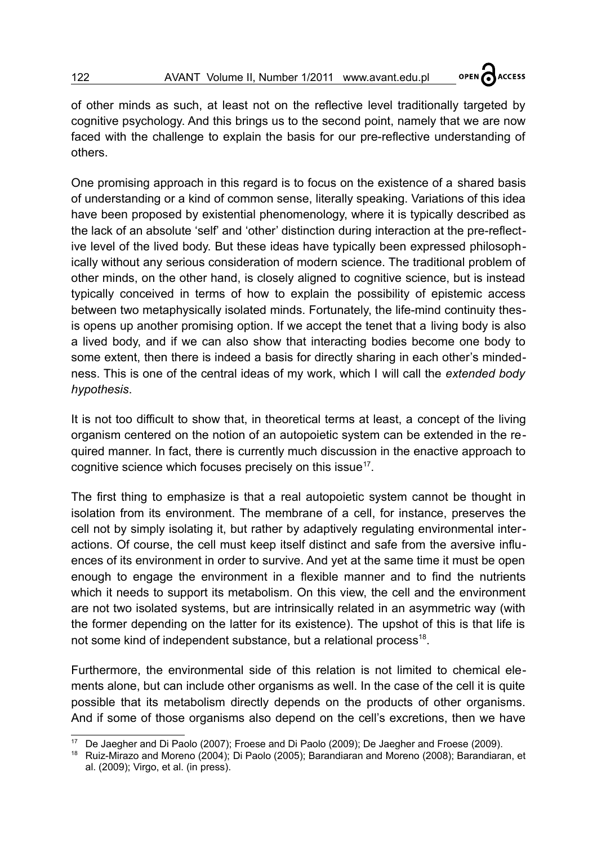OPEN CACCESS

of other minds as such, at least not on the reflective level traditionally targeted by cognitive psychology. And this brings us to the second point, namely that we are now faced with the challenge to explain the basis for our pre-reflective understanding of others.

One promising approach in this regard is to focus on the existence of a shared basis of understanding or a kind of common sense, literally speaking. Variations of this idea have been proposed by existential phenomenology, where it is typically described as the lack of an absolute 'self' and 'other' distinction during interaction at the pre-reflective level of the lived body. But these ideas have typically been expressed philosophically without any serious consideration of modern science. The traditional problem of other minds, on the other hand, is closely aligned to cognitive science, but is instead typically conceived in terms of how to explain the possibility of epistemic access between two metaphysically isolated minds. Fortunately, the life-mind continuity thesis opens up another promising option. If we accept the tenet that a living body is also a lived body, and if we can also show that interacting bodies become one body to some extent, then there is indeed a basis for directly sharing in each other's mindedness. This is one of the central ideas of my work, which I will call the *extended body hypothesis*.

It is not too difficult to show that, in theoretical terms at least, a concept of the living organism centered on the notion of an autopoietic system can be extended in the required manner. In fact, there is currently much discussion in the enactive approach to cognitive science which focuses precisely on this issue $17$ .

The first thing to emphasize is that a real autopoietic system cannot be thought in isolation from its environment. The membrane of a cell, for instance, preserves the cell not by simply isolating it, but rather by adaptively regulating environmental interactions. Of course, the cell must keep itself distinct and safe from the aversive influences of its environment in order to survive. And yet at the same time it must be open enough to engage the environment in a flexible manner and to find the nutrients which it needs to support its metabolism. On this view, the cell and the environment are not two isolated systems, but are intrinsically related in an asymmetric way (with the former depending on the latter for its existence). The upshot of this is that life is not some kind of independent substance, but a relational process<sup>[18](#page-9-1)</sup>.

Furthermore, the environmental side of this relation is not limited to chemical elements alone, but can include other organisms as well. In the case of the cell it is quite possible that its metabolism directly depends on the products of other organisms. And if some of those organisms also depend on the cell's excretions, then we have

<span id="page-9-0"></span><sup>17</sup> De Jaegher and Di Paolo (2007); Froese and Di Paolo (2009); De Jaegher and Froese (2009).

<span id="page-9-1"></span><sup>18</sup> Ruiz-Mirazo and Moreno (2004); Di Paolo (2005); Barandiaran and Moreno (2008); Barandiaran, et al. (2009); Virgo, et al. (in press).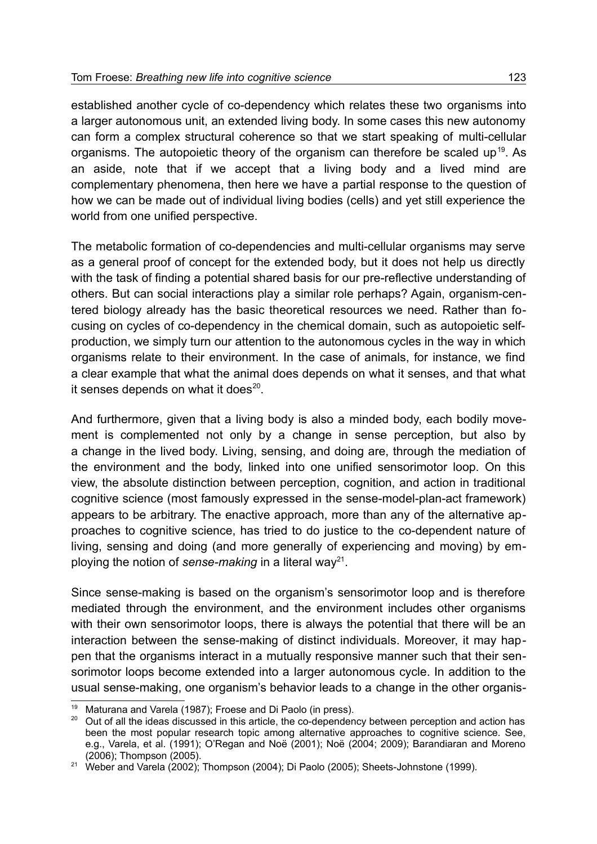established another cycle of co-dependency which relates these two organisms into a larger autonomous unit, an extended living body. In some cases this new autonomy can form a complex structural coherence so that we start speaking of multi-cellular organisms. The autopoietic theory of the organism can therefore be scaled up<sup>[19](#page-10-0)</sup>. As an aside, note that if we accept that a living body and a lived mind are complementary phenomena, then here we have a partial response to the question of how we can be made out of individual living bodies (cells) and yet still experience the world from one unified perspective.

The metabolic formation of co-dependencies and multi-cellular organisms may serve as a general proof of concept for the extended body, but it does not help us directly with the task of finding a potential shared basis for our pre-reflective understanding of others. But can social interactions play a similar role perhaps? Again, organism-centered biology already has the basic theoretical resources we need. Rather than focusing on cycles of co-dependency in the chemical domain, such as autopoietic selfproduction, we simply turn our attention to the autonomous cycles in the way in which organisms relate to their environment. In the case of animals, for instance, we find a clear example that what the animal does depends on what it senses, and that what it senses depends on what it does $^{20}$  $^{20}$  $^{20}$ .

And furthermore, given that a living body is also a minded body, each bodily movement is complemented not only by a change in sense perception, but also by a change in the lived body. Living, sensing, and doing are, through the mediation of the environment and the body, linked into one unified sensorimotor loop. On this view, the absolute distinction between perception, cognition, and action in traditional cognitive science (most famously expressed in the sense-model-plan-act framework) appears to be arbitrary. The enactive approach, more than any of the alternative approaches to cognitive science, has tried to do justice to the co-dependent nature of living, sensing and doing (and more generally of experiencing and moving) by employing the notion of *sense-making* in a literal way<sup>[21](#page-10-2)</sup>.

Since sense-making is based on the organism's sensorimotor loop and is therefore mediated through the environment, and the environment includes other organisms with their own sensorimotor loops, there is always the potential that there will be an interaction between the sense-making of distinct individuals. Moreover, it may happen that the organisms interact in a mutually responsive manner such that their sensorimotor loops become extended into a larger autonomous cycle. In addition to the usual sense-making, one organism's behavior leads to a change in the other organis-

<span id="page-10-0"></span>Maturana and Varela (1987); Froese and Di Paolo (in press).

<span id="page-10-1"></span><sup>&</sup>lt;sup>20</sup> Out of all the ideas discussed in this article, the co-dependency between perception and action has been the most popular research topic among alternative approaches to cognitive science. See, e.g., Varela, et al. (1991); O'Regan and Noë (2001); Noë (2004; 2009); Barandiaran and Moreno (2006); Thompson (2005).

<span id="page-10-2"></span> $21$  Weber and Varela (2002); Thompson (2004); Di Paolo (2005); Sheets-Johnstone (1999).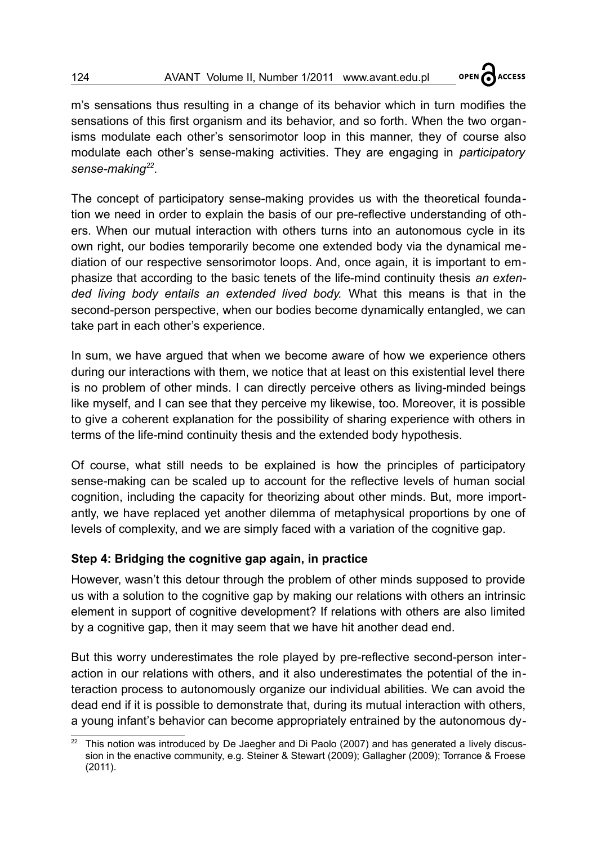m's sensations thus resulting in a change of its behavior which in turn modifies the sensations of this first organism and its behavior, and so forth. When the two organisms modulate each other's sensorimotor loop in this manner, they of course also modulate each other's sense-making activities. They are engaging in *participatory sense-making[22](#page-11-0)* .

The concept of participatory sense-making provides us with the theoretical foundation we need in order to explain the basis of our pre-reflective understanding of others. When our mutual interaction with others turns into an autonomous cycle in its own right, our bodies temporarily become one extended body via the dynamical mediation of our respective sensorimotor loops. And, once again, it is important to emphasize that according to the basic tenets of the life-mind continuity thesis *an extended living body entails an extended lived body.* What this means is that in the second-person perspective, when our bodies become dynamically entangled, we can take part in each other's experience.

In sum, we have argued that when we become aware of how we experience others during our interactions with them, we notice that at least on this existential level there is no problem of other minds. I can directly perceive others as living-minded beings like myself, and I can see that they perceive my likewise, too. Moreover, it is possible to give a coherent explanation for the possibility of sharing experience with others in terms of the life-mind continuity thesis and the extended body hypothesis.

Of course, what still needs to be explained is how the principles of participatory sense-making can be scaled up to account for the reflective levels of human social cognition, including the capacity for theorizing about other minds. But, more importantly, we have replaced yet another dilemma of metaphysical proportions by one of levels of complexity, and we are simply faced with a variation of the cognitive gap.

# **Step 4: Bridging the cognitive gap again, in practice**

However, wasn't this detour through the problem of other minds supposed to provide us with a solution to the cognitive gap by making our relations with others an intrinsic element in support of cognitive development? If relations with others are also limited by a cognitive gap, then it may seem that we have hit another dead end.

But this worry underestimates the role played by pre-reflective second-person interaction in our relations with others, and it also underestimates the potential of the interaction process to autonomously organize our individual abilities. We can avoid the dead end if it is possible to demonstrate that, during its mutual interaction with others, a young infant's behavior can become appropriately entrained by the autonomous dy-

<span id="page-11-0"></span><sup>22</sup> This notion was introduced by De Jaegher and Di Paolo (2007) and has generated a lively discussion in the enactive community, e.g. Steiner & Stewart (2009); Gallagher (2009); Torrance & Froese (2011).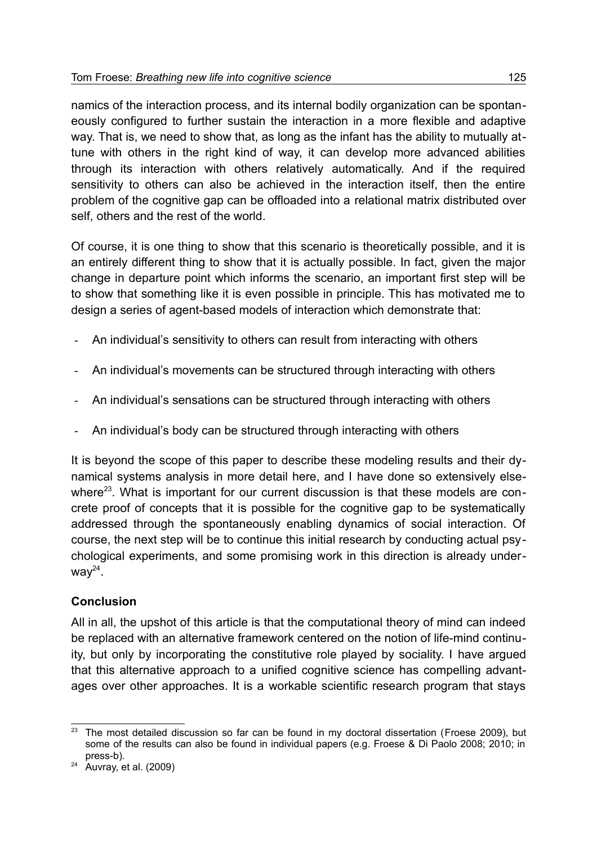namics of the interaction process, and its internal bodily organization can be spontaneously configured to further sustain the interaction in a more flexible and adaptive way. That is, we need to show that, as long as the infant has the ability to mutually attune with others in the right kind of way, it can develop more advanced abilities through its interaction with others relatively automatically. And if the required sensitivity to others can also be achieved in the interaction itself, then the entire problem of the cognitive gap can be offloaded into a relational matrix distributed over self, others and the rest of the world.

Of course, it is one thing to show that this scenario is theoretically possible, and it is an entirely different thing to show that it is actually possible. In fact, given the major change in departure point which informs the scenario, an important first step will be to show that something like it is even possible in principle. This has motivated me to design a series of agent-based models of interaction which demonstrate that:

- An individual's sensitivity to others can result from interacting with others
- An individual's movements can be structured through interacting with others
- An individual's sensations can be structured through interacting with others
- An individual's body can be structured through interacting with others

It is beyond the scope of this paper to describe these modeling results and their dynamical systems analysis in more detail here, and I have done so extensively else-where<sup>[23](#page-12-0)</sup>. What is important for our current discussion is that these models are concrete proof of concepts that it is possible for the cognitive gap to be systematically addressed through the spontaneously enabling dynamics of social interaction. Of course, the next step will be to continue this initial research by conducting actual psychological experiments, and some promising work in this direction is already underway $^{24}$  $^{24}$  $^{24}$ .

# **Conclusion**

All in all, the upshot of this article is that the computational theory of mind can indeed be replaced with an alternative framework centered on the notion of life-mind continuity, but only by incorporating the constitutive role played by sociality. I have argued that this alternative approach to a unified cognitive science has compelling advantages over other approaches. It is a workable scientific research program that stays

<span id="page-12-0"></span><sup>&</sup>lt;sup>23</sup> The most detailed discussion so far can be found in my doctoral dissertation (Froese 2009), but some of the results can also be found in individual papers (e.g. Froese & Di Paolo 2008; 2010; in press-b).

<span id="page-12-1"></span> $24$  Auvray, et al. (2009)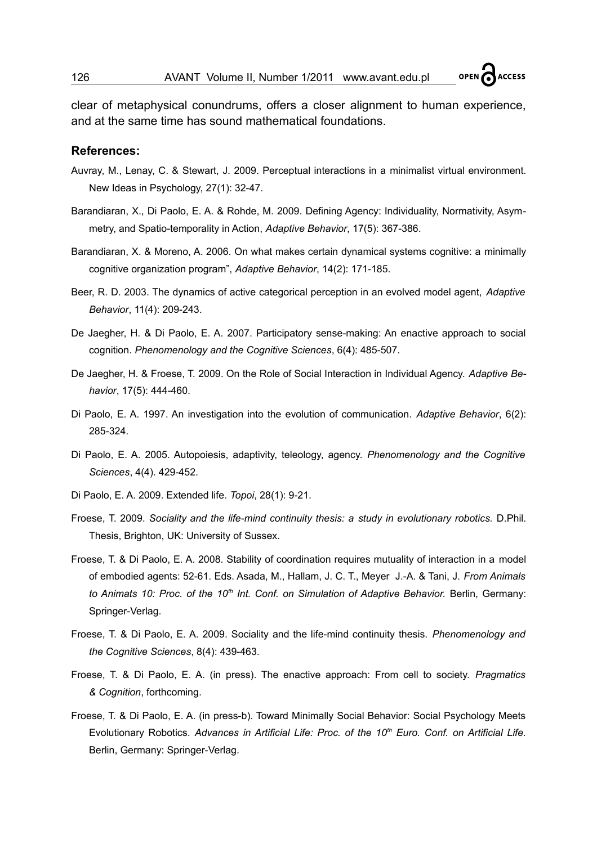**ACCESS** 

clear of metaphysical conundrums, offers a closer alignment to human experience, and at the same time has sound mathematical foundations.

#### **References:**

- Auvray, M., Lenay, C. & Stewart, J. 2009. Perceptual interactions in a minimalist virtual environment. New Ideas in Psychology, 27(1): 32-47.
- Barandiaran, X., Di Paolo, E. A. & Rohde, M. 2009. Defining Agency: Individuality, Normativity, Asymmetry, and Spatio-temporality in Action, *Adaptive Behavior*, 17(5): 367-386.
- Barandiaran, X. & Moreno, A. 2006. On what makes certain dynamical systems cognitive: a minimally cognitive organization program", *Adaptive Behavior*, 14(2): 171-185.
- Beer, R. D. 2003. The dynamics of active categorical perception in an evolved model agent, *Adaptive Behavior*, 11(4): 209-243.
- De Jaegher, H. & Di Paolo, E. A. 2007. Participatory sense-making: An enactive approach to social cognition. *Phenomenology and the Cognitive Sciences*, 6(4): 485-507.
- De Jaegher, H. & Froese, T. 2009. On the Role of Social Interaction in Individual Agency. *Adaptive Behavior*, 17(5): 444-460.
- Di Paolo, E. A. 1997. An investigation into the evolution of communication. *Adaptive Behavior*, 6(2): 285-324.
- Di Paolo, E. A. 2005. Autopoiesis, adaptivity, teleology, agency. *Phenomenology and the Cognitive Sciences*, 4(4). 429-452.
- Di Paolo, E. A. 2009. Extended life. *Topoi*, 28(1): 9-21.
- Froese, T. 2009. *Sociality and the life-mind continuity thesis: a study in evolutionary robotics.* D.Phil. Thesis, Brighton, UK: University of Sussex.
- Froese, T. & Di Paolo, E. A. 2008. Stability of coordination requires mutuality of interaction in a model of embodied agents: 52-61. Eds. Asada, M., Hallam, J. C. T., Meyer J.-A. & Tani, J. *From Animals to Animats 10: Proc. of the 10th Int. Conf. on Simulation of Adaptive Behavior.* Berlin, Germany: Springer-Verlag.
- Froese, T. & Di Paolo, E. A. 2009. Sociality and the life-mind continuity thesis. *Phenomenology and the Cognitive Sciences*, 8(4): 439-463.
- Froese, T. & Di Paolo, E. A. (in press). The enactive approach: From cell to society. *Pragmatics & Cognition*, forthcoming.
- Froese, T. & Di Paolo, E. A. (in press-b). Toward Minimally Social Behavior: Social Psychology Meets Evolutionary Robotics. *Advances in Artificial Life: Proc. of the 10th Euro. Conf. on Artificial Life.* Berlin, Germany: Springer-Verlag.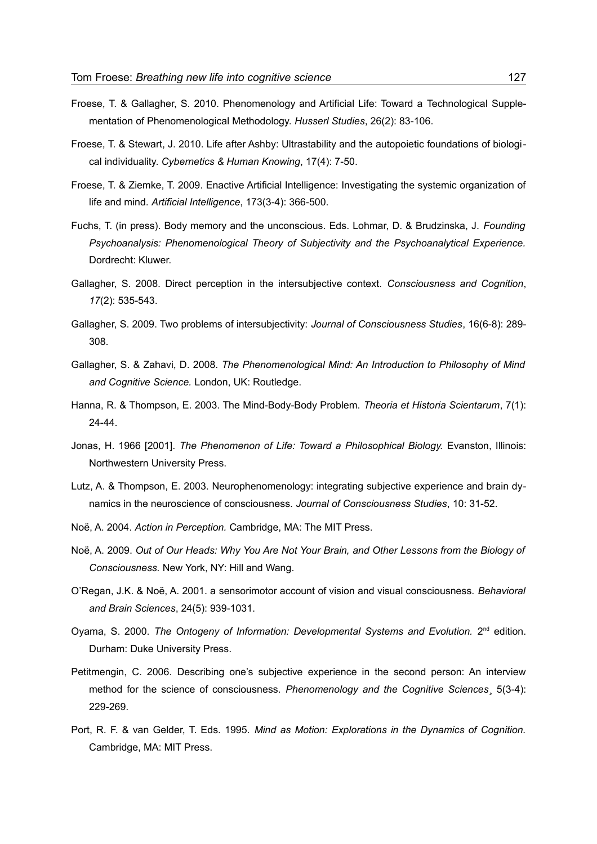- Froese, T. & Gallagher, S. 2010. Phenomenology and Artificial Life: Toward a Technological Supplementation of Phenomenological Methodology. *Husserl Studies*, 26(2): 83-106.
- Froese, T. & Stewart, J. 2010. Life after Ashby: Ultrastability and the autopoietic foundations of biological individuality. *Cybernetics & Human Knowing*, 17(4): 7-50.
- Froese, T. & Ziemke, T. 2009. Enactive Artificial Intelligence: Investigating the systemic organization of life and mind. *Artificial Intelligence*, 173(3-4): 366-500.
- Fuchs, T. (in press). Body memory and the unconscious. Eds. Lohmar, D. & Brudzinska, J. *Founding Psychoanalysis: Phenomenological Theory of Subjectivity and the Psychoanalytical Experience.* Dordrecht: Kluwer.
- Gallagher, S. 2008. Direct perception in the intersubjective context. *Consciousness and Cognition*, *17*(2): 535-543.
- Gallagher, S. 2009. Two problems of intersubjectivity: *Journal of Consciousness Studies*, 16(6-8): 289- 308.
- Gallagher, S. & Zahavi, D. 2008. *The Phenomenological Mind: An Introduction to Philosophy of Mind and Cognitive Science.* London, UK: Routledge.
- Hanna, R. & Thompson, E. 2003. The Mind-Body-Body Problem. *Theoria et Historia Scientarum*, 7(1): 24-44.
- Jonas, H. 1966 [2001]. *The Phenomenon of Life: Toward a Philosophical Biology.* Evanston, Illinois: Northwestern University Press.
- Lutz, A. & Thompson, E. 2003. Neurophenomenology: integrating subjective experience and brain dynamics in the neuroscience of consciousness. *Journal of Consciousness Studies*, 10: 31-52.
- Noë, A. 2004. *Action in Perception.* Cambridge, MA: The MIT Press.
- Noë, A. 2009. *Out of Our Heads: Why You Are Not Your Brain, and Other Lessons from the Biology of Consciousness.* New York, NY: Hill and Wang.
- O'Regan, J.K. & Noë, A. 2001. a sensorimotor account of vision and visual consciousness. *Behavioral and Brain Sciences*, 24(5): 939-1031.
- Oyama, S. 2000. *The Ontogeny of Information: Developmental Systems and Evolution.* 2<sup>nd</sup> edition. Durham: Duke University Press.
- Petitmengin, C. 2006. Describing one's subjective experience in the second person: An interview method for the science of consciousness. *Phenomenology and the Cognitive Sciences*¸ 5(3-4): 229-269.
- Port, R. F. & van Gelder, T. Eds. 1995. *Mind as Motion: Explorations in the Dynamics of Cognition.* Cambridge, MA: MIT Press.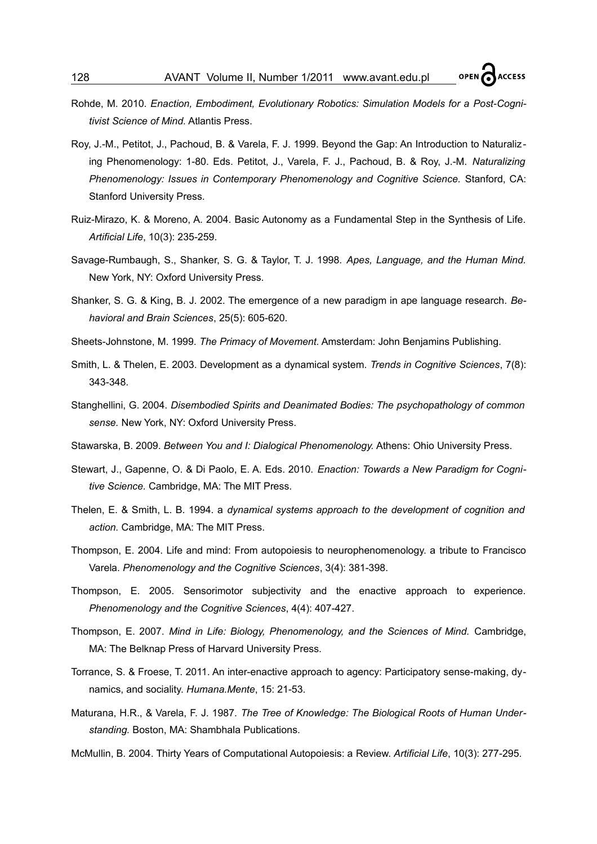- Rohde, M. 2010. *Enaction, Embodiment, Evolutionary Robotics: Simulation Models for a Post-Cognitivist Science of Mind.* Atlantis Press.
- Roy, J.-M., Petitot, J., Pachoud, B. & Varela, F. J. 1999. Beyond the Gap: An Introduction to Naturalizing Phenomenology: 1-80. Eds. Petitot, J., Varela, F. J., Pachoud, B. & Roy, J.-M. *Naturalizing Phenomenology: Issues in Contemporary Phenomenology and Cognitive Science.* Stanford, CA: Stanford University Press.
- Ruiz-Mirazo, K. & Moreno, A. 2004. Basic Autonomy as a Fundamental Step in the Synthesis of Life. *Artificial Life*, 10(3): 235-259.
- Savage-Rumbaugh, S., Shanker, S. G. & Taylor, T. J. 1998. *Apes, Language, and the Human Mind.* New York, NY: Oxford University Press.
- Shanker, S. G. & King, B. J. 2002. The emergence of a new paradigm in ape language research. *Behavioral and Brain Sciences*, 25(5): 605-620.
- Sheets-Johnstone, M. 1999. *The Primacy of Movement.* Amsterdam: John Benjamins Publishing.
- Smith, L. & Thelen, E. 2003. Development as a dynamical system. *Trends in Cognitive Sciences*, 7(8): 343-348.
- Stanghellini, G. 2004. *Disembodied Spirits and Deanimated Bodies: The psychopathology of common sense.* New York, NY: Oxford University Press.
- Stawarska, B. 2009. *Between You and I: Dialogical Phenomenology.* Athens: Ohio University Press.
- Stewart, J., Gapenne, O. & Di Paolo, E. A. Eds. 2010. *Enaction: Towards a New Paradigm for Cognitive Science.* Cambridge, MA: The MIT Press.
- Thelen, E. & Smith, L. B. 1994. a *dynamical systems approach to the development of cognition and action.* Cambridge, MA: The MIT Press.
- Thompson, E. 2004. Life and mind: From autopoiesis to neurophenomenology. a tribute to Francisco Varela. *Phenomenology and the Cognitive Sciences*, 3(4): 381-398.
- Thompson, E. 2005. Sensorimotor subjectivity and the enactive approach to experience. *Phenomenology and the Cognitive Sciences*, 4(4): 407-427.
- Thompson, E. 2007. *Mind in Life: Biology, Phenomenology, and the Sciences of Mind.* Cambridge, MA: The Belknap Press of Harvard University Press.
- Torrance, S. & Froese, T. 2011. An inter-enactive approach to agency: Participatory sense-making, dynamics, and sociality. *Humana.Mente*, 15: 21-53.
- Maturana, H.R., & Varela, F. J. 1987. *The Tree of Knowledge: The Biological Roots of Human Understanding.* Boston, MA: Shambhala Publications.
- McMullin, B. 2004. Thirty Years of Computational Autopoiesis: a Review. *Artificial Life*, 10(3): 277-295.